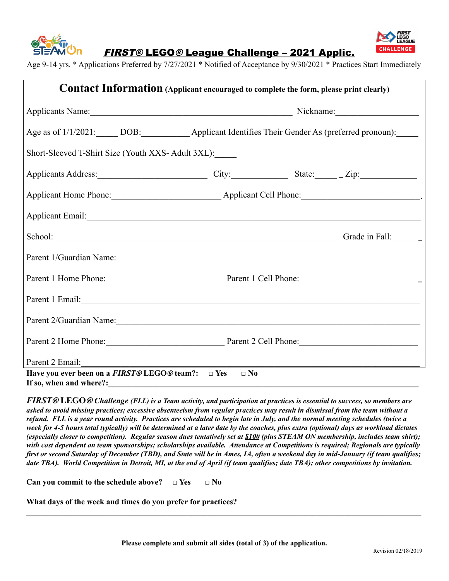



FIRST® LEGO® League Challenge – 2021 Applic.

Age 9-14 yrs. \* Applications Preferred by 7/27/2021 \* Notified of Acceptance by 9/30/2021 \* Practices Start Immediately

| Contact Information (Applicant encouraged to complete the form, please print clearly)                                                                                                                                          |                                                                                                          |  |  |  |
|--------------------------------------------------------------------------------------------------------------------------------------------------------------------------------------------------------------------------------|----------------------------------------------------------------------------------------------------------|--|--|--|
|                                                                                                                                                                                                                                |                                                                                                          |  |  |  |
|                                                                                                                                                                                                                                | Age as of 1/1/2021: DOB: ______________ Applicant Identifies Their Gender As (preferred pronoun): ______ |  |  |  |
| Short-Sleeved T-Shirt Size (Youth XXS-Adult 3XL):                                                                                                                                                                              |                                                                                                          |  |  |  |
| Applicants Address: City: City: State: Zip:                                                                                                                                                                                    |                                                                                                          |  |  |  |
|                                                                                                                                                                                                                                |                                                                                                          |  |  |  |
|                                                                                                                                                                                                                                |                                                                                                          |  |  |  |
| School: Grade in Fall: Grade in Fall:                                                                                                                                                                                          |                                                                                                          |  |  |  |
| Parent 1/Guardian Name:                                                                                                                                                                                                        |                                                                                                          |  |  |  |
| Parent 1 Home Phone: Parent 1 Cell Phone:                                                                                                                                                                                      |                                                                                                          |  |  |  |
|                                                                                                                                                                                                                                |                                                                                                          |  |  |  |
| Parent 2/Guardian Name: 2008. [1] December 2014 19:00:00 Parent 2014 19:00:00 Parent 2014 19:00:00 Parent 2014 19:00:00 Parent 2014 19:00:00 Parent 2014 19:00:00 Parent 2014 19:00:00 Parent 2014 19:00:00 Parent 2014 19:00: |                                                                                                          |  |  |  |
| Parent 2 Home Phone: Parent 2 Cell Phone:                                                                                                                                                                                      |                                                                                                          |  |  |  |
| Parent 2 Email:                                                                                                                                                                                                                |                                                                                                          |  |  |  |
| Have you ever been on a <i>FIRST</i> $\mathbb{R}$ LEGO $\mathbb{R}$ team?: $\Box$ Yes<br>If so, when and where?:                                                                                                               | $\square$ No                                                                                             |  |  |  |

**FIRST® LEGO® Challenge (FLL) is a Team activity, and participation at practices is essential to success, so members are** asked to avoid missing practices; excessive absenteeism from regular practices may result in dismissal from the team without a refund. FLL is a year round activity. Practices are scheduled to begin late in July, and the normal meeting schedules (twice a week for 4-5 hours total typically) will be determined at a later date by the coaches, plus extra (optional) days as workload dictates (especially closer to competition). Regular season dues tentatively set at \$100 (plus STEAM ON membership, includes team shirt); with cost dependent on team sponsorships; scholarships available. Attendance at Competitions is required; Regionals are typically first or second Saturday of December (TBD), and State will be in Ames, IA, often a weekend day in mid-January (if team qualifies; date TBA). World Competition in Detroit, MI, at the end of April (if team qualifies; date TBA); other competitions by invitation.

**Can you commit to the schedule above? □ Yes □ No**

**What days of the week and times do you prefer for practices?**

**\_\_\_\_\_\_\_\_\_\_\_\_\_\_\_\_\_\_\_\_\_\_\_\_\_\_\_\_\_\_\_\_\_\_\_\_\_\_\_\_\_\_\_\_\_\_\_\_\_\_\_\_\_\_\_\_\_\_\_\_\_\_\_\_\_\_\_\_\_\_\_\_\_\_\_\_\_\_\_\_\_\_\_\_\_\_\_\_\_\_\_\_\_\_\_\_\_\_**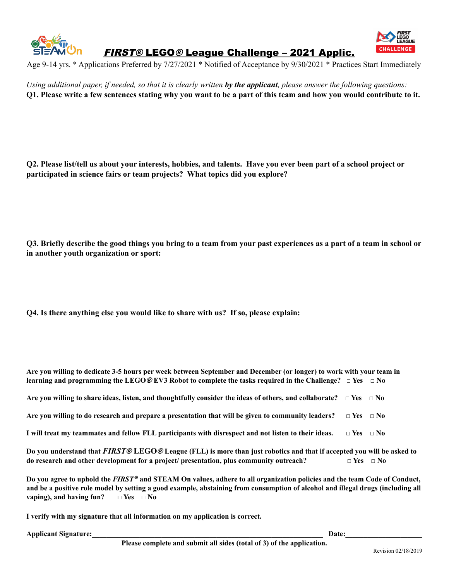

FIRST® LEGO® League Challenge – 2021 Applic.



Age 9-14 yrs. \* Applications Preferred by 7/27/2021 \* Notified of Acceptance by 9/30/2021 \* Practices Start Immediately

Using additional paper, if needed, so that it is clearly written by the applicant, please answer the following questions: O1. Please write a few sentences stating why you want to be a part of this team and how you would contribute to it.

Q2. Please list/tell us about your interests, hobbies, and talents. Have you ever been part of a school project or **participated in science fairs or team projects? What topics did you explore?**

Q3. Briefly describe the good things you bring to a team from your past experiences as a part of a team in school or **in another youth organization or sport:**

**Q4. Is there anything else you would like to share with us? If so, please explain:**

| Are you willing to dedicate 3-5 hours per week between September and December (or longer) to work with your team in                                                                                                                                         |                      |  |
|-------------------------------------------------------------------------------------------------------------------------------------------------------------------------------------------------------------------------------------------------------------|----------------------|--|
| learning and programming the LEGO@EV3 Robot to complete the tasks required in the Challenge? $\Box$ Yes $\Box$ No                                                                                                                                           |                      |  |
| Are you willing to share ideas, listen, and thoughtfully consider the ideas of others, and collaborate? $\Box$ Yes $\Box$ No                                                                                                                                |                      |  |
| Are you willing to do research and prepare a presentation that will be given to community leaders?                                                                                                                                                          | $\Box$ Yes $\Box$ No |  |
| I will treat my teammates and fellow FLL participants with disrespect and not listen to their ideas.                                                                                                                                                        | $\Box$ Yes $\Box$ No |  |
| Do you understand that FIRST® LEGO® League (FLL) is more than just robotics and that if accepted you will be asked to                                                                                                                                       |                      |  |
| do research and other development for a project/ presentation, plus community outreach?                                                                                                                                                                     | $\Box$ Yes $\Box$ No |  |
| Do you agree to uphold the FIRST® and STEAM On values, adhere to all organization policies and the team Code of Conduct,<br>and be a positive role model by setting a good example, abstaining from consumption of alcohol and illegal drugs (including all |                      |  |

**vaping),** and **having**  $\text{fun?}$   $\Box$  **Yes**  $\Box$  **No** 

**I verify with my signature that all information on my application is correct.**

**Applicant Signature: Date: Date: Date:** *Date:*